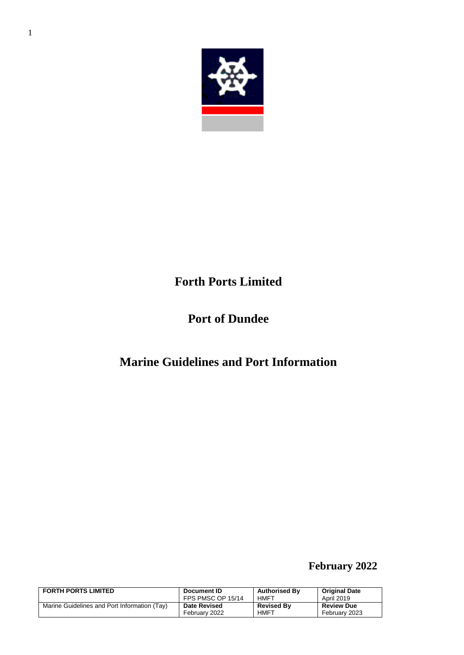

# **Forth Ports Limited**

# **Port of Dundee**

# **Marine Guidelines and Port Information**

## **February 2022**

| <b>FORTH PORTS LIMITED</b>                   | Document ID         | <b>Authorised By</b> | <b>Original Date</b> |
|----------------------------------------------|---------------------|----------------------|----------------------|
|                                              | FPS PMSC OP 15/14   | HMFT                 | April 2019           |
| Marine Guidelines and Port Information (Tay) | <b>Date Revised</b> | <b>Revised By</b>    | <b>Review Due</b>    |
|                                              | February 2022       | HMFT                 | February 2023        |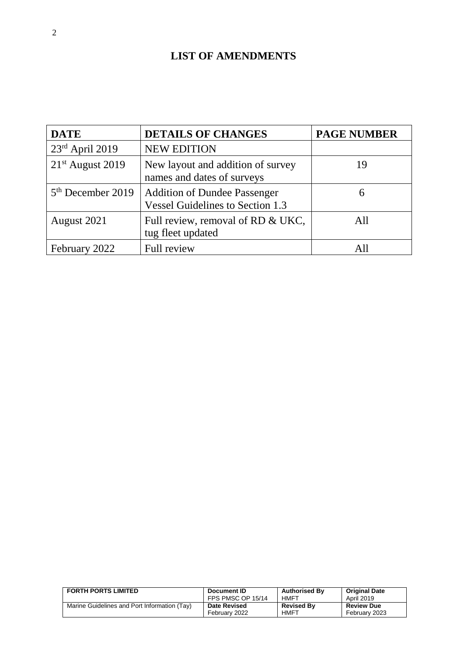## **LIST OF AMENDMENTS**

| <b>DATE</b>                   | <b>DETAILS OF CHANGES</b>                                                      | <b>PAGE NUMBER</b> |
|-------------------------------|--------------------------------------------------------------------------------|--------------------|
| 23rd April 2019               | <b>NEW EDITION</b>                                                             |                    |
| $21st$ August 2019            | New layout and addition of survey<br>names and dates of surveys                | 19                 |
| 5 <sup>th</sup> December 2019 | <b>Addition of Dundee Passenger</b><br><b>Vessel Guidelines to Section 1.3</b> | 6                  |
| August 2021                   | Full review, removal of RD & UKC,<br>tug fleet updated                         | A11                |
| February 2022                 | Full review                                                                    | AII                |

| <b>FORTH PORTS LIMITED</b>                   | Document ID         | <b>Authorised By</b> | <b>Original Date</b> |
|----------------------------------------------|---------------------|----------------------|----------------------|
|                                              | FPS PMSC OP 15/14   | HMFT                 | April 2019           |
| Marine Guidelines and Port Information (Tay) | <b>Date Revised</b> | <b>Revised Bv</b>    | <b>Review Due</b>    |
|                                              | February 2022       | <b>HMFT</b>          | February 2023        |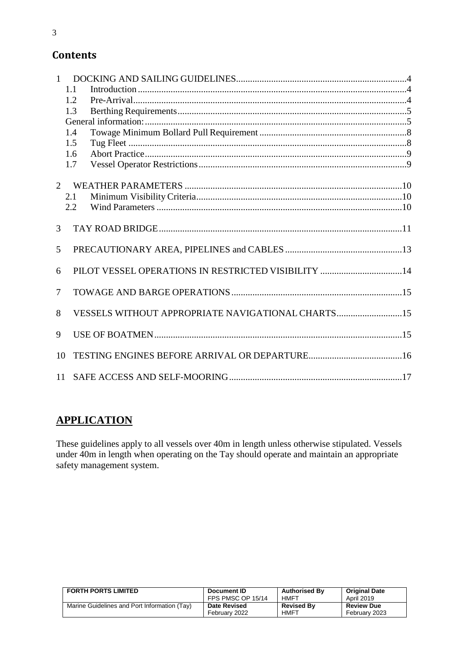| $\mathbf{1}$   |     |                                                     |  |
|----------------|-----|-----------------------------------------------------|--|
|                | 1.1 |                                                     |  |
|                | 1.2 |                                                     |  |
|                | 1.3 |                                                     |  |
|                |     |                                                     |  |
|                | 1.4 |                                                     |  |
|                | 1.5 |                                                     |  |
|                | 1.6 |                                                     |  |
|                | 1.7 |                                                     |  |
| $\overline{2}$ |     |                                                     |  |
|                | 2.1 |                                                     |  |
|                | 2.2 |                                                     |  |
| $\overline{3}$ |     |                                                     |  |
| 5              |     |                                                     |  |
| 6              |     | PILOT VESSEL OPERATIONS IN RESTRICTED VISIBILITY 14 |  |
| 7              |     |                                                     |  |
| 8              |     | VESSELS WITHOUT APPROPRIATE NAVIGATIONAL CHARTS15   |  |
| 9              |     |                                                     |  |
| 10             |     |                                                     |  |
| 11             |     |                                                     |  |

## **APPLICATION**

These guidelines apply to all vessels over 40m in length unless otherwise stipulated. Vessels under 40m in length when operating on the Tay should operate and maintain an appropriate safety management system.

| <b>FORTH PORTS LIMITED</b>                   | Document ID         | <b>Authorised By</b> | <b>Original Date</b> |
|----------------------------------------------|---------------------|----------------------|----------------------|
|                                              | FPS PMSC OP 15/14   | HMFT                 | April 2019           |
| Marine Guidelines and Port Information (Tay) | <b>Date Revised</b> | <b>Revised By</b>    | <b>Review Due</b>    |
|                                              | February 2022       | <b>HMFT</b>          | February 2023        |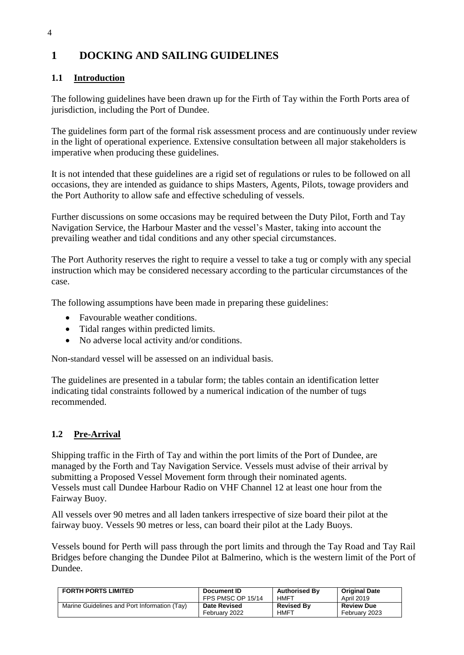## <span id="page-3-0"></span>**1 DOCKING AND SAILING GUIDELINES**

### <span id="page-3-1"></span>**1.1 Introduction**

The following guidelines have been drawn up for the Firth of Tay within the Forth Ports area of jurisdiction, including the Port of Dundee.

The guidelines form part of the formal risk assessment process and are continuously under review in the light of operational experience. Extensive consultation between all major stakeholders is imperative when producing these guidelines.

It is not intended that these guidelines are a rigid set of regulations or rules to be followed on all occasions, they are intended as guidance to ships Masters, Agents, Pilots, towage providers and the Port Authority to allow safe and effective scheduling of vessels.

Further discussions on some occasions may be required between the Duty Pilot, Forth and Tay Navigation Service, the Harbour Master and the vessel's Master, taking into account the prevailing weather and tidal conditions and any other special circumstances.

The Port Authority reserves the right to require a vessel to take a tug or comply with any special instruction which may be considered necessary according to the particular circumstances of the case.

The following assumptions have been made in preparing these guidelines:

- Favourable weather conditions.
- Tidal ranges within predicted limits.
- No adverse local activity and/or conditions.

Non-standard vessel will be assessed on an individual basis.

The guidelines are presented in a tabular form; the tables contain an identification letter indicating tidal constraints followed by a numerical indication of the number of tugs recommended.

### <span id="page-3-2"></span>**1.2 Pre-Arrival**

Shipping traffic in the Firth of Tay and within the port limits of the Port of Dundee, are managed by the Forth and Tay Navigation Service. Vessels must advise of their arrival by submitting a Proposed Vessel Movement form through their nominated agents. Vessels must call Dundee Harbour Radio on VHF Channel 12 at least one hour from the Fairway Buoy.

All vessels over 90 metres and all laden tankers irrespective of size board their pilot at the fairway buoy. Vessels 90 metres or less, can board their pilot at the Lady Buoys.

Vessels bound for Perth will pass through the port limits and through the Tay Road and Tay Rail Bridges before changing the Dundee Pilot at Balmerino, which is the western limit of the Port of Dundee.

| <b>FORTH PORTS LIMITED</b>                   | Document ID         | <b>Authorised By</b> | <b>Original Date</b> |
|----------------------------------------------|---------------------|----------------------|----------------------|
|                                              | FPS PMSC OP 15/14   | HMFT                 | <b>April 2019</b>    |
| Marine Guidelines and Port Information (Tay) | <b>Date Revised</b> | <b>Revised Bv</b>    | <b>Review Due</b>    |
|                                              | February 2022       | <b>HMFT</b>          | February 2023        |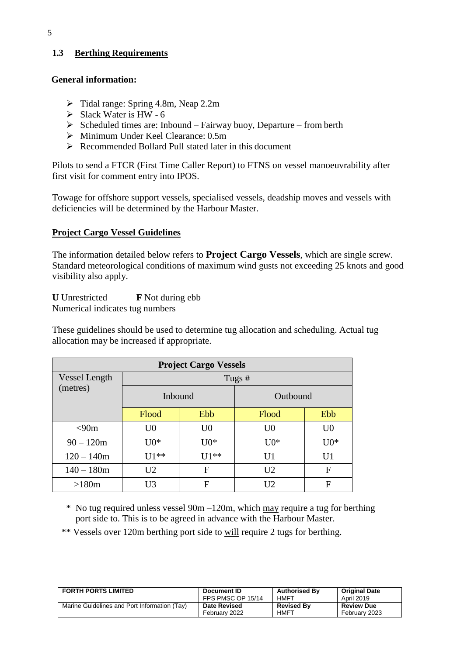### <span id="page-4-0"></span>**1.3 Berthing Requirements**

#### <span id="page-4-1"></span>**General information:**

- $\triangleright$  Tidal range: Spring 4.8m, Neap 2.2m
- $\triangleright$  Slack Water is HW 6
- $\triangleright$  Scheduled times are: Inbound Fairway buoy, Departure from berth
- Minimum Under Keel Clearance: 0.5m
- ▶ Recommended Bollard Pull stated later in this document

Pilots to send a FTCR (First Time Caller Report) to FTNS on vessel manoeuvrability after first visit for comment entry into IPOS.

Towage for offshore support vessels, specialised vessels, deadship moves and vessels with deficiencies will be determined by the Harbour Master.

#### **Project Cargo Vessel Guidelines**

The information detailed below refers to **Project Cargo Vessels**, which are single screw. Standard meteorological conditions of maximum wind gusts not exceeding 25 knots and good visibility also apply.

**U** Unrestricted **F** Not during ebb Numerical indicates tug numbers

These guidelines should be used to determine tug allocation and scheduling. Actual tug allocation may be increased if appropriate.

| <b>Project Cargo Vessels</b> |                |                |                |                |  |  |  |  |  |  |
|------------------------------|----------------|----------------|----------------|----------------|--|--|--|--|--|--|
| Vessel Length                |                |                | Tugs#          |                |  |  |  |  |  |  |
| (metres)                     | Inbound        |                | Outbound       |                |  |  |  |  |  |  |
|                              | Flood          | Ebb<br>Flood   |                | Ebb            |  |  |  |  |  |  |
| < 90m                        | U <sub>0</sub> | U <sub>0</sub> | U <sub>0</sub> | U <sub>0</sub> |  |  |  |  |  |  |
| $90 - 120m$                  | $U0*$          | $U0*$          | $U0*$          | $U0*$          |  |  |  |  |  |  |
| $120 - 140m$                 | $U1**$         | $111**$        | U1             | U <sub>1</sub> |  |  |  |  |  |  |
| $140 - 180m$                 | U <sub>2</sub> | F              | U <sub>2</sub> | $_{\rm F}$     |  |  |  |  |  |  |
| >180m                        | U3             | F              | U <sub>2</sub> | F              |  |  |  |  |  |  |

\* No tug required unless vessel 90m –120m, which may require a tug for berthing port side to. This is to be agreed in advance with the Harbour Master.

\*\* Vessels over 120m berthing port side to will require 2 tugs for berthing.

| <b>FORTH PORTS LIMITED</b>                   | Document ID         | <b>Authorised By</b> | <b>Original Date</b> |
|----------------------------------------------|---------------------|----------------------|----------------------|
|                                              | FPS PMSC OP 15/14   | HMFT                 | April 2019           |
| Marine Guidelines and Port Information (Tay) | <b>Date Revised</b> | <b>Revised By</b>    | <b>Review Due</b>    |
|                                              | February 2022       | <b>HMFT</b>          | February 2023        |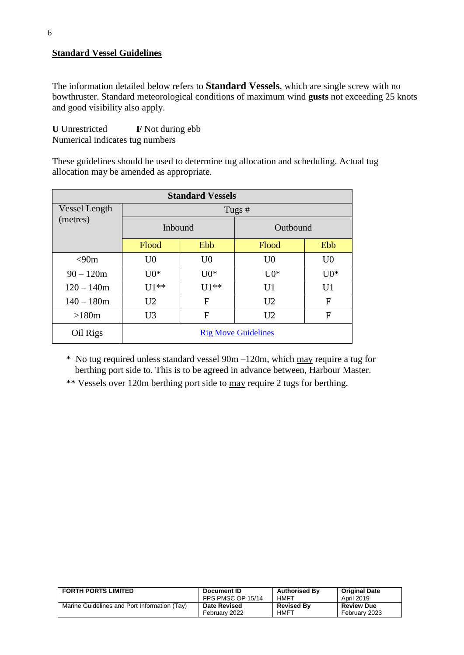#### **Standard Vessel Guidelines**

The information detailed below refers to **Standard Vessels**, which are single screw with no bowthruster. Standard meteorological conditions of maximum wind **gusts** not exceeding 25 knots and good visibility also apply.

**U** Unrestricted **F** Not during ebb Numerical indicates tug numbers

These guidelines should be used to determine tug allocation and scheduling. Actual tug allocation may be amended as appropriate.

|               | <b>Standard Vessels</b> |                |                            |                |  |  |  |  |  |  |  |
|---------------|-------------------------|----------------|----------------------------|----------------|--|--|--|--|--|--|--|
| Vessel Length | Tugs #                  |                |                            |                |  |  |  |  |  |  |  |
| (metres)      | Inbound                 |                | Outbound                   |                |  |  |  |  |  |  |  |
|               | Flood                   | Ebb            | Flood                      | Ebb            |  |  |  |  |  |  |  |
| < 90m         | U <sub>0</sub>          | U <sub>0</sub> | U <sub>0</sub>             | U <sub>0</sub> |  |  |  |  |  |  |  |
| $90 - 120m$   | $U()^*$                 | $U0*$          | $U0*$                      | $U0*$          |  |  |  |  |  |  |  |
| $120 - 140m$  | $U1**$                  | $U1**$         | U <sub>1</sub>             | U <sub>1</sub> |  |  |  |  |  |  |  |
| $140 - 180m$  | U <sub>2</sub>          | F              | U <sub>2</sub>             | F              |  |  |  |  |  |  |  |
| >180m         | U <sub>3</sub>          | F              | U <sub>2</sub>             | F              |  |  |  |  |  |  |  |
| Oil Rigs      |                         |                | <b>Rig Move Guidelines</b> |                |  |  |  |  |  |  |  |

\* No tug required unless standard vessel 90m –120m, which may require a tug for berthing port side to. This is to be agreed in advance between, Harbour Master.

\*\* Vessels over 120m berthing port side to may require 2 tugs for berthing.

| <b>FORTH PORTS LIMITED</b>                   | Document ID         | <b>Authorised By</b> | <b>Original Date</b> |
|----------------------------------------------|---------------------|----------------------|----------------------|
|                                              | FPS PMSC OP 15/14   | HMFT                 | April 2019           |
| Marine Guidelines and Port Information (Tay) | <b>Date Revised</b> | <b>Revised By</b>    | <b>Review Due</b>    |
|                                              | February 2022       | <b>HMFT</b>          | February 2023        |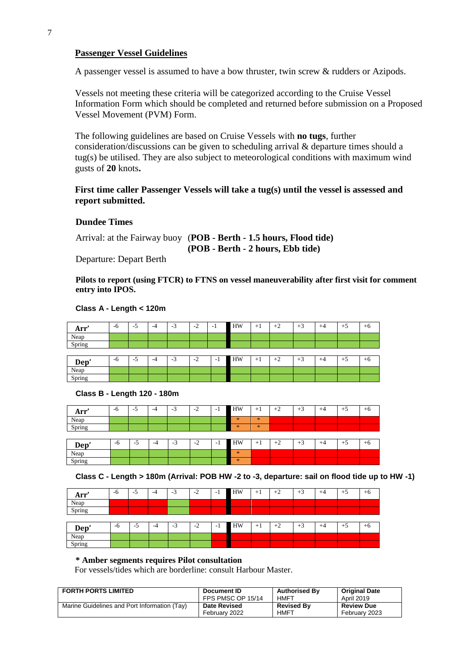#### **Passenger Vessel Guidelines**

A passenger vessel is assumed to have a bow thruster, twin screw & rudders or Azipods.

Vessels not meeting these criteria will be categorized according to the Cruise Vessel Information Form which should be completed and returned before submission on a Proposed Vessel Movement (PVM) Form.

The following guidelines are based on Cruise Vessels with **no tugs**, further consideration/discussions can be given to scheduling arrival & departure times should a tug(s) be utilised. They are also subject to meteorological conditions with maximum wind gusts of **20** knots**.**

#### **First time caller Passenger Vessels will take a tug(s) until the vessel is assessed and report submitted.**

#### **Dundee Times**

Arrival: at the Fairway buoy (**POB - Berth - 1.5 hours, Flood tide) (POB - Berth - 2 hours, Ebb tide)**

Departure: Depart Berth

**Pilots to report (using FTCR) to FTNS on vessel maneuverability after first visit for comment entry into IPOS.**

#### **Class A - Length < 120m**

| Arr'   | -0 | -<br>- 1<br>◡ | -4 | $\sim$<br>- 7 | $\sim$<br>$ \prime$<br>∼ | $-1$ | HW | ᅩ<br>٠. | $+^{\circ}$<br>- | $\sim$<br>$+$ . | $+5$ | $+0$ |
|--------|----|---------------|----|---------------|--------------------------|------|----|---------|------------------|-----------------|------|------|
| Neap   |    |               |    |               |                          |      |    |         |                  |                 |      |      |
| Spring |    |               |    |               |                          |      |    |         |                  |                 |      |      |
|        |    |               |    |               |                          |      |    |         |                  |                 |      |      |

| Dep'      | -6 | . .<br>◡ | -4 | -<br>. . | $\sim$<br>$\sim$<br><b>_</b> | - 1 | HW | <b>__</b> | . .<br>ᅩ<br>$\overline{\phantom{a}}$<br>$\overline{\phantom{0}}$ | - 11 | ᅩ<br>. | U |
|-----------|----|----------|----|----------|------------------------------|-----|----|-----------|------------------------------------------------------------------|------|--------|---|
| Neap      |    |          |    |          |                              |     |    |           |                                                                  |      |        |   |
| $'$ nning |    |          |    |          |                              |     |    |           |                                                                  |      |        |   |

#### **Class B - Length 120 - 180m**

| Arr'   | -6 | $-5$ | $-4$ | $\sim$<br>-3 | $-2$ | - 1 | HW      | $+1$ | $+2$ | $+3$ | $+4$ | $+5$ | $+6$ |
|--------|----|------|------|--------------|------|-----|---------|------|------|------|------|------|------|
| Neap   |    |      |      |              |      |     | $\star$ | $*$  |      |      |      |      |      |
| Spring |    |      |      |              |      |     | $*$     | *    |      |      |      |      |      |
|        |    |      |      |              |      |     |         |      |      |      |      |      |      |
| Dep'   | -6 | $-5$ | -4   | ◠<br>-3      | $-2$ | - 1 | HW      | $+1$ | $+2$ | $+3$ | $+4$ | $+5$ | $+6$ |
| Neap   |    |      |      |              |      |     | $\ast$  |      |      |      |      |      |      |
| Spring |    |      |      |              |      |     | $*$     |      |      |      |      |      |      |

**Class C - Length > 180m (Arrival: POB HW -2 to -3, departure: sail on flood tide up to HW -1)**

| Arr'   | -6   | $-5$ | $-4$ | $\sqrt{2}$<br>-3 | $-2$ | - 1 | HW | $+1$ | $+2$ | $+3$ | $+4$ | $+5$ | $+6$ |
|--------|------|------|------|------------------|------|-----|----|------|------|------|------|------|------|
| Neap   |      |      |      |                  |      |     |    |      |      |      |      |      |      |
| Spring |      |      |      |                  |      |     |    |      |      |      |      |      |      |
|        |      |      |      |                  |      |     |    |      |      |      |      |      |      |
| Dep'   | $-6$ | ÷.   | $-4$ | $\sim$<br>-3     | $-2$ | -1  | HW | $+1$ | $+2$ | $+3$ | $+4$ | $+5$ | $+6$ |
| Neap   |      |      |      |                  |      |     |    |      |      |      |      |      |      |
| Spring |      |      |      |                  |      |     |    |      |      |      |      |      |      |

#### **\* Amber segments requires Pilot consultation**

For vessels/tides which are borderline: consult Harbour Master.

| <b>FORTH PORTS LIMITED</b>                   | Document ID         | <b>Authorised By</b> | <b>Original Date</b> |
|----------------------------------------------|---------------------|----------------------|----------------------|
|                                              | FPS PMSC OP 15/14   | HMFT                 | April 2019           |
| Marine Guidelines and Port Information (Tay) | <b>Date Revised</b> | <b>Revised By</b>    | <b>Review Due</b>    |
|                                              | February 2022       | <b>HMFT</b>          | February 2023        |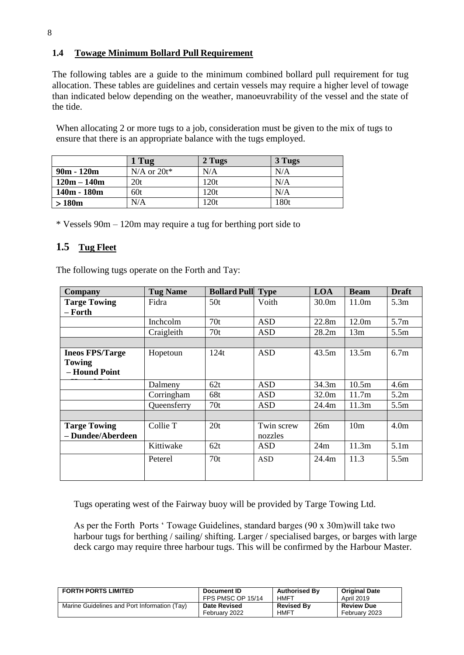### <span id="page-7-0"></span>**1.4 Towage Minimum Bollard Pull Requirement**

The following tables are a guide to the minimum combined bollard pull requirement for tug allocation. These tables are guidelines and certain vessels may require a higher level of towage than indicated below depending on the weather, manoeuvrability of the vessel and the state of the tide.

When allocating 2 or more tugs to a job, consideration must be given to the mix of tugs to ensure that there is an appropriate balance with the tugs employed.

|               | 1 Tug            | 2 Tugs | 3 Tugs |
|---------------|------------------|--------|--------|
| $90m - 120m$  | $N/A$ or $20t^*$ | N/A    | N/A    |
| $120m - 140m$ | 20t              | 120t   | N/A    |
| 140m - 180m   | 60t              | 120t   | N/A    |
| >180m         | N/A              | 120t   | 180t   |

\* Vessels 90m – 120m may require a tug for berthing port side to

### <span id="page-7-1"></span>**1.5 Tug Fleet**

The following tugs operate on the Forth and Tay:

| <b>Company</b>         | <b>Tug Name</b> | <b>Bollard Pull</b> | <b>Type</b> | <b>LOA</b> | <b>Beam</b>     | <b>Draft</b>     |
|------------------------|-----------------|---------------------|-------------|------------|-----------------|------------------|
| <b>Targe Towing</b>    | Fidra           | 50t                 | Voith       | 30.0m      | 11.0m           | 5.3m             |
| – Forth                |                 |                     |             |            |                 |                  |
|                        | Inchcolm        | 70t                 | <b>ASD</b>  | 22.8m      | 12.0m           | 5.7 <sub>m</sub> |
|                        | Craigleith      | 70t                 | <b>ASD</b>  | 28.2m      | 13m             | 5.5m             |
|                        |                 |                     |             |            |                 |                  |
| <b>Ineos FPS/Targe</b> | Hopetoun        | 124t                | <b>ASD</b>  | 43.5m      | 13.5m           | 6.7 <sub>m</sub> |
| <b>Towing</b>          |                 |                     |             |            |                 |                  |
| - Hound Point          |                 |                     |             |            |                 |                  |
|                        | Dalmeny         | 62t                 | <b>ASD</b>  | 34.3m      | 10.5m           | 4.6m             |
|                        | Corringham      | 68t                 | <b>ASD</b>  | 32.0m      | 11.7m           | 5.2m             |
|                        | Queensferry     | 70t                 | <b>ASD</b>  | 24.4m      | 11.3m           | 5.5 <sub>m</sub> |
|                        |                 |                     |             |            |                 |                  |
| <b>Targe Towing</b>    | Collie T        | 20t                 | Twin screw  | 26m        | 10 <sub>m</sub> | 4.0 <sub>m</sub> |
| - Dundee/Aberdeen      |                 |                     | nozzles     |            |                 |                  |
|                        | Kittiwake       | 62t                 | <b>ASD</b>  | 24m        | 11.3m           | 5.1 <sub>m</sub> |
|                        | Peterel         | 70t                 | <b>ASD</b>  | 24.4m      | 11.3            | 5.5m             |
|                        |                 |                     |             |            |                 |                  |

Tugs operating west of the Fairway buoy will be provided by Targe Towing Ltd.

As per the Forth Ports ' Towage Guidelines, standard barges (90 x 30m)will take two harbour tugs for berthing / sailing/ shifting. Larger / specialised barges, or barges with large deck cargo may require three harbour tugs. This will be confirmed by the Harbour Master.

| <b>FORTH PORTS LIMITED</b>                   | Document ID         | <b>Authorised By</b> | <b>Original Date</b> |
|----------------------------------------------|---------------------|----------------------|----------------------|
|                                              | FPS PMSC OP 15/14   | HMFT                 | <b>April 2019</b>    |
| Marine Guidelines and Port Information (Tay) | <b>Date Revised</b> | <b>Revised By</b>    | <b>Review Due</b>    |
|                                              | February 2022       | <b>HMFT</b>          | February 2023        |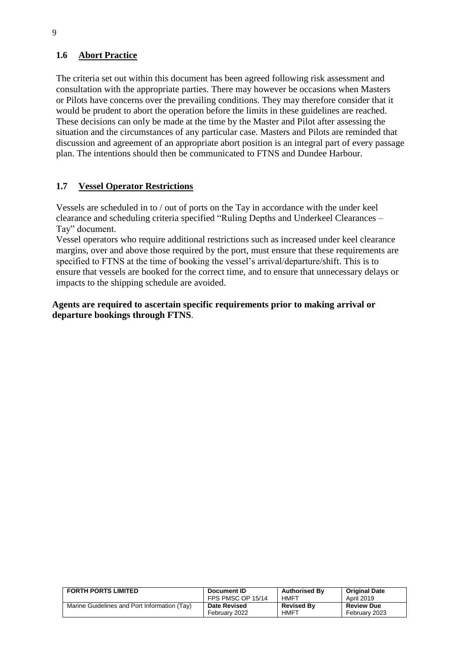### <span id="page-8-0"></span>**1.6 Abort Practice**

The criteria set out within this document has been agreed following risk assessment and consultation with the appropriate parties. There may however be occasions when Masters or Pilots have concerns over the prevailing conditions. They may therefore consider that it would be prudent to abort the operation before the limits in these guidelines are reached. These decisions can only be made at the time by the Master and Pilot after assessing the situation and the circumstances of any particular case. Masters and Pilots are reminded that discussion and agreement of an appropriate abort position is an integral part of every passage plan. The intentions should then be communicated to FTNS and Dundee Harbour.

#### <span id="page-8-1"></span>**1.7 Vessel Operator Restrictions**

Vessels are scheduled in to / out of ports on the Tay in accordance with the under keel clearance and scheduling criteria specified "Ruling Depths and Underkeel Clearances – Tay" document.

Vessel operators who require additional restrictions such as increased under keel clearance margins, over and above those required by the port, must ensure that these requirements are specified to FTNS at the time of booking the vessel's arrival/departure/shift. This is to ensure that vessels are booked for the correct time, and to ensure that unnecessary delays or impacts to the shipping schedule are avoided.

**Agents are required to ascertain specific requirements prior to making arrival or departure bookings through FTNS**.

| <b>FORTH PORTS LIMITED</b>                   | Document ID         | <b>Authorised By</b> | <b>Original Date</b> |
|----------------------------------------------|---------------------|----------------------|----------------------|
|                                              | FPS PMSC OP 15/14   | HMFT                 | April 2019           |
| Marine Guidelines and Port Information (Tay) | <b>Date Revised</b> | <b>Revised By</b>    | <b>Review Due</b>    |
|                                              | February 2022       | <b>HMFT</b>          | February 2023        |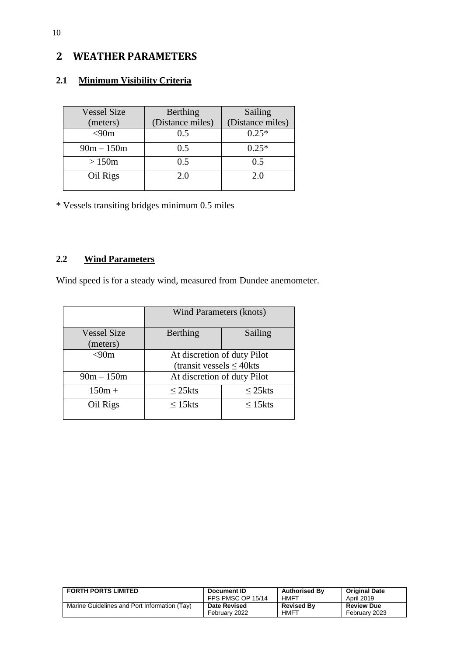## <span id="page-9-0"></span>**2 WEATHER PARAMETERS**

### <span id="page-9-1"></span>**2.1 Minimum Visibility Criteria**

| <b>Vessel Size</b> | Berthing         | Sailing          |
|--------------------|------------------|------------------|
| (meters)           | (Distance miles) | (Distance miles) |
| $<$ 90m            | 0.5              | $0.25*$          |
| $90m - 150m$       | 0.5              | $0.25*$          |
| >150m              | 0.5              | 0.5              |
| Oil Rigs           | 2.0              | 2.0              |

\* Vessels transiting bridges minimum 0.5 miles

### <span id="page-9-2"></span>**2.2 Wind Parameters**

Wind speed is for a steady wind, measured from Dundee anemometer.

|                                | <b>Wind Parameters (knots)</b>                               |                  |  |  |  |
|--------------------------------|--------------------------------------------------------------|------------------|--|--|--|
| <b>Vessel Size</b><br>(meters) | Berthing                                                     | Sailing          |  |  |  |
| < 90m                          | At discretion of duty Pilot<br>(transit vessels $\leq$ 40kts |                  |  |  |  |
| $90m - 150m$                   | At discretion of duty Pilot                                  |                  |  |  |  |
| $150m +$                       | $\leq$ 25 kts                                                | $\leq$ 25 kts    |  |  |  |
| Oil Rigs                       | $\leq$ 15 $k$ ts                                             | $\leq$ 15 $k$ ts |  |  |  |

| <b>FORTH PORTS LIMITED</b>                   | Document ID         | <b>Authorised By</b> | <b>Original Date</b> |
|----------------------------------------------|---------------------|----------------------|----------------------|
|                                              | FPS PMSC OP 15/14   | HMFT                 | April 2019           |
| Marine Guidelines and Port Information (Tay) | <b>Date Revised</b> | <b>Revised By</b>    | <b>Review Due</b>    |
|                                              | February 2022       | <b>HMFT</b>          | February 2023        |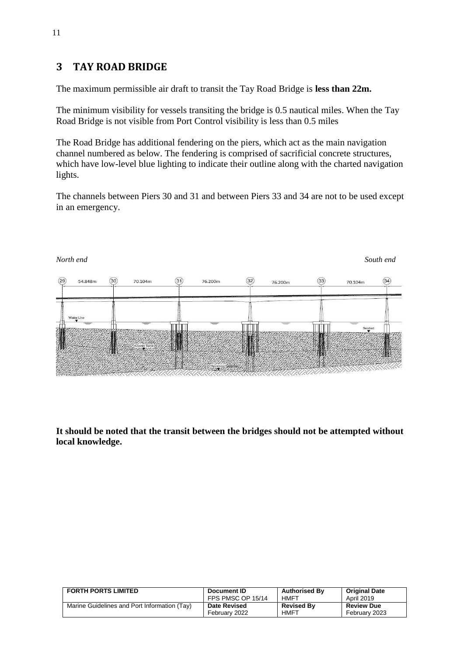## <span id="page-10-0"></span>**3 TAY ROAD BRIDGE**

The maximum permissible air draft to transit the Tay Road Bridge is **less than 22m.**

The minimum visibility for vessels transiting the bridge is 0.5 nautical miles. When the Tay Road Bridge is not visible from Port Control visibility is less than 0.5 miles

The Road Bridge has additional fendering on the piers, which act as the main navigation channel numbered as below. The fendering is comprised of sacrificial concrete structures, which have low-level blue lighting to indicate their outline along with the charted navigation lights.

The channels between Piers 30 and 31 and between Piers 33 and 34 are not to be used except in an emergency.



**It should be noted that the transit between the bridges should not be attempted without local knowledge.**

| <b>FORTH PORTS LIMITED</b>                   | Document ID         | <b>Authorised By</b> | <b>Original Date</b> |
|----------------------------------------------|---------------------|----------------------|----------------------|
|                                              | FPS PMSC OP 15/14   | HMFT                 | April 2019           |
| Marine Guidelines and Port Information (Tay) | <b>Date Revised</b> | <b>Revised By</b>    | <b>Review Due</b>    |
|                                              | February 2022       | <b>HMFT</b>          | February 2023        |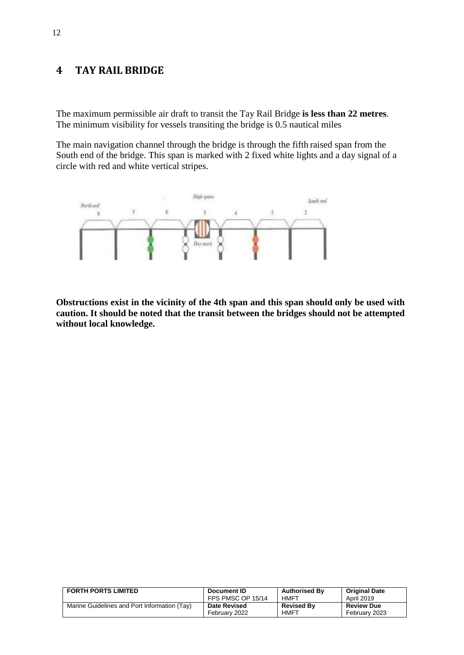### **4 TAY RAIL BRIDGE**

The maximum permissible air draft to transit the Tay Rail Bridge **is less than 22 metres**. The minimum visibility for vessels transiting the bridge is 0.5 nautical miles

The main navigation channel through the bridge is through the fifth raised span from the South end of the bridge. This span is marked with 2 fixed white lights and a day signal of a circle with red and white vertical stripes.



**Obstructions exist in the vicinity of the 4th span and this span should only be used with caution. It should be noted that the transit between the bridges should not be attempted without local knowledge.**

| <b>FORTH PORTS LIMITED</b>                   | Document ID         | <b>Authorised By</b> | <b>Original Date</b> |
|----------------------------------------------|---------------------|----------------------|----------------------|
|                                              | FPS PMSC OP 15/14   | HMFT                 | April 2019           |
| Marine Guidelines and Port Information (Tay) | <b>Date Revised</b> | <b>Revised By</b>    | <b>Review Due</b>    |
|                                              | February 2022       | <b>HMFT</b>          | February 2023        |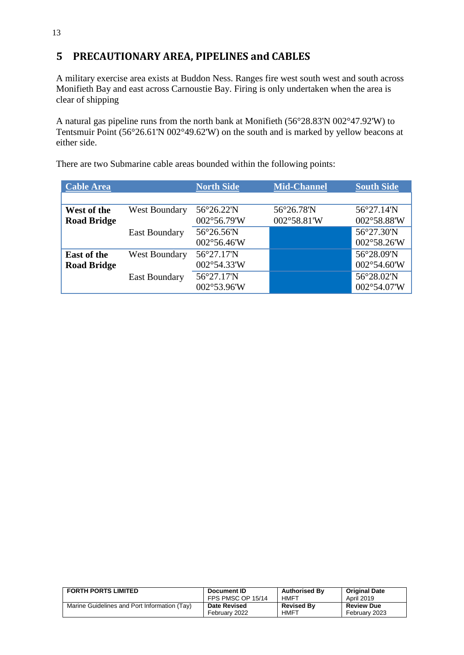## <span id="page-12-0"></span>**5 PRECAUTIONARY AREA, PIPELINES and CABLES**

A military exercise area exists at Buddon Ness. Ranges fire west south west and south across Monifieth Bay and east across Carnoustie Bay. Firing is only undertaken when the area is clear of shipping

A natural gas pipeline runs from the north bank at Monifieth (56°28.83'N 002°47.92'W) to Tentsmuir Point (56°26.61'N 002°49.62'W) on the south and is marked by yellow beacons at either side.

| <b>Cable Area</b>  |                      | <b>North Side</b> | <b>Mid-Channel</b> | <b>South Side</b> |
|--------------------|----------------------|-------------------|--------------------|-------------------|
|                    |                      |                   |                    |                   |
| West of the        | <b>West Boundary</b> | 56°26.22'N        | 56°26.78'N         | 56°27.14'N        |
| <b>Road Bridge</b> |                      | 002°56.79'W       | 002°58.81'W        | 002°58.88'W       |
|                    | <b>East Boundary</b> | 56°26.56'N        |                    | 56°27.30'N        |
|                    |                      | 002°56.46'W       |                    | 002°58.26'W       |
| <b>East of the</b> | <b>West Boundary</b> | 56°27.17'N        |                    | 56°28.09'N        |
| <b>Road Bridge</b> |                      | 002°54.33'W       |                    | 002°54.60'W       |
|                    | <b>East Boundary</b> | 56°27.17'N        |                    | 56°28.02'N        |
|                    |                      | 002°53.96'W       |                    | 002°54.07'W       |

There are two Submarine cable areas bounded within the following points:

| <b>FORTH PORTS LIMITED</b>                   | Document ID         | <b>Authorised By</b> | <b>Original Date</b> |
|----------------------------------------------|---------------------|----------------------|----------------------|
|                                              | FPS PMSC OP 15/14   | HMFT                 | April 2019           |
| Marine Guidelines and Port Information (Tay) | <b>Date Revised</b> | <b>Revised By</b>    | <b>Review Due</b>    |
|                                              | February 2022       | HMFT                 | February 2023        |

13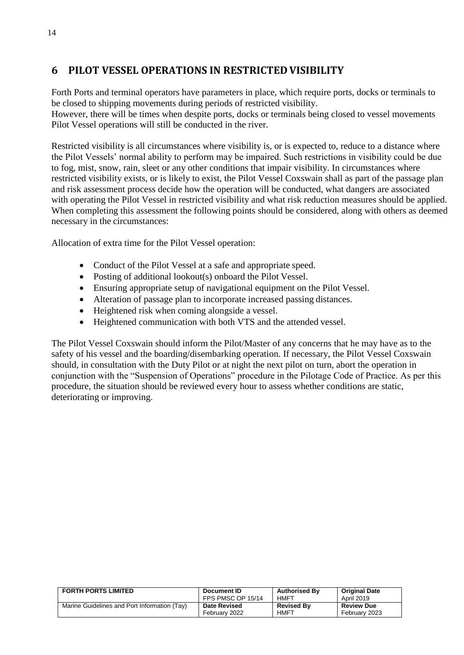## <span id="page-13-0"></span>**6 PILOT VESSEL OPERATIONS IN RESTRICTED VISIBILITY**

Forth Ports and terminal operators have parameters in place, which require ports, docks or terminals to be closed to shipping movements during periods of restricted visibility.

However, there will be times when despite ports, docks or terminals being closed to vessel movements Pilot Vessel operations will still be conducted in the river.

Restricted visibility is all circumstances where visibility is, or is expected to, reduce to a distance where the Pilot Vessels' normal ability to perform may be impaired. Such restrictions in visibility could be due to fog, mist, snow, rain, sleet or any other conditions that impair visibility. In circumstances where restricted visibility exists, or is likely to exist, the Pilot Vessel Coxswain shall as part of the passage plan and risk assessment process decide how the operation will be conducted, what dangers are associated with operating the Pilot Vessel in restricted visibility and what risk reduction measures should be applied. When completing this assessment the following points should be considered, along with others as deemed necessary in the circumstances:

Allocation of extra time for the Pilot Vessel operation:

- Conduct of the Pilot Vessel at a safe and appropriate speed.
- Posting of additional lookout(s) onboard the Pilot Vessel.
- Ensuring appropriate setup of navigational equipment on the Pilot Vessel.
- Alteration of passage plan to incorporate increased passing distances.
- Heightened risk when coming alongside a vessel.
- Heightened communication with both VTS and the attended vessel.

The Pilot Vessel Coxswain should inform the Pilot/Master of any concerns that he may have as to the safety of his vessel and the boarding/disembarking operation. If necessary, the Pilot Vessel Coxswain should, in consultation with the Duty Pilot or at night the next pilot on turn, abort the operation in conjunction with the "Suspension of Operations" procedure in the Pilotage Code of Practice. As per this procedure, the situation should be reviewed every hour to assess whether conditions are static, deteriorating or improving.

| <b>FORTH PORTS LIMITED</b>                   | Document ID         | <b>Authorised By</b> | <b>Original Date</b> |
|----------------------------------------------|---------------------|----------------------|----------------------|
|                                              | FPS PMSC OP 15/14   | HMFT                 | <b>April 2019</b>    |
| Marine Guidelines and Port Information (Tay) | <b>Date Revised</b> | <b>Revised By</b>    | <b>Review Due</b>    |
|                                              | February 2022       | <b>HMFT</b>          | February 2023        |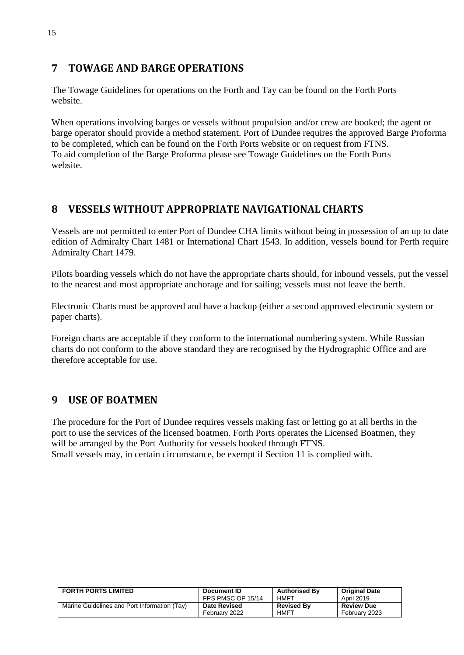## <span id="page-14-0"></span>**7 TOWAGE AND BARGE OPERATIONS**

The Towage Guidelines for operations on the Forth and Tay can be found on the Forth Ports website.

When operations involving barges or vessels without propulsion and/or crew are booked; the agent or barge operator should provide a method statement. Port of Dundee requires the approved Barge Proforma to be completed, which can be found on the Forth Ports website or on request from FTNS. To aid completion of the Barge Proforma please see Towage Guidelines on the Forth Ports website.

## <span id="page-14-1"></span>**8 VESSELS WITHOUT APPROPRIATE NAVIGATIONAL CHARTS**

Vessels are not permitted to enter Port of Dundee CHA limits without being in possession of an up to date edition of Admiralty Chart 1481 or International Chart 1543. In addition, vessels bound for Perth require Admiralty Chart 1479.

Pilots boarding vessels which do not have the appropriate charts should, for inbound vessels, put the vessel to the nearest and most appropriate anchorage and for sailing; vessels must not leave the berth.

Electronic Charts must be approved and have a backup (either a second approved electronic system or paper charts).

Foreign charts are acceptable if they conform to the international numbering system. While Russian charts do not conform to the above standard they are recognised by the Hydrographic Office and are therefore acceptable for use.

## <span id="page-14-2"></span>**9 USE OF BOATMEN**

The procedure for the Port of Dundee requires vessels making fast or letting go at all berths in the port to use the services of the licensed boatmen. Forth Ports operates the Licensed Boatmen, they will be arranged by the Port Authority for vessels booked through FTNS. Small vessels may, in certain circumstance, be exempt if Section 11 is complied with.

| <b>FORTH PORTS LIMITED</b>                   | Document ID         | <b>Authorised By</b> | <b>Original Date</b> |
|----------------------------------------------|---------------------|----------------------|----------------------|
|                                              | FPS PMSC OP 15/14   | HMFT                 | April 2019           |
| Marine Guidelines and Port Information (Tay) | <b>Date Revised</b> | <b>Revised By</b>    | <b>Review Due</b>    |
|                                              | February 2022       | <b>HMFT</b>          | February 2023        |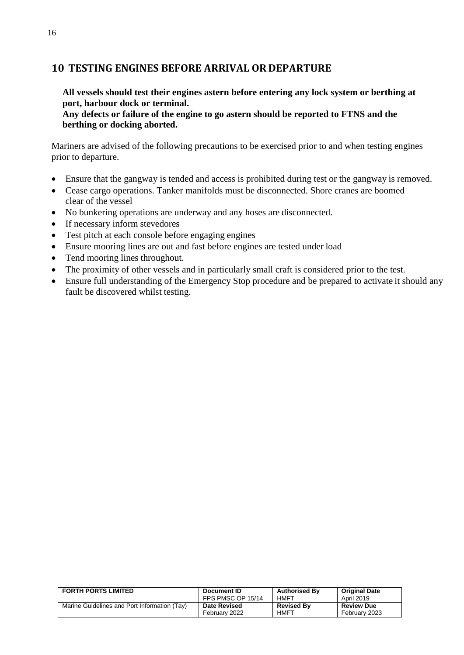### <span id="page-15-0"></span>**10 TESTING ENGINES BEFORE ARRIVAL OR DEPARTURE**

**All vessels should test their engines astern before entering any lock system or berthing at port, harbour dock or terminal.**

**Any defects or failure of the engine to go astern should be reported to FTNS and the berthing or docking aborted.**

Mariners are advised of the following precautions to be exercised prior to and when testing engines prior to departure.

- Ensure that the gangway is tended and access is prohibited during test or the gangway is removed.
- Cease cargo operations. Tanker manifolds must be disconnected. Shore cranes are boomed clear of the vessel
- No bunkering operations are underway and any hoses are disconnected.
- If necessary inform stevedores
- Test pitch at each console before engaging engines
- Ensure mooring lines are out and fast before engines are tested under load
- Tend mooring lines throughout.
- The proximity of other vessels and in particularly small craft is considered prior to the test.
- Ensure full understanding of the Emergency Stop procedure and be prepared to activate it should any fault be discovered whilst testing.

| <b>FORTH PORTS LIMITED</b>                   | Document ID         | <b>Authorised By</b> | <b>Original Date</b> |
|----------------------------------------------|---------------------|----------------------|----------------------|
|                                              | FPS PMSC OP 15/14   | HMFT                 | April 2019           |
| Marine Guidelines and Port Information (Tay) | <b>Date Revised</b> | <b>Revised By</b>    | <b>Review Due</b>    |
|                                              | February 2022       | <b>HMFT</b>          | February 2023        |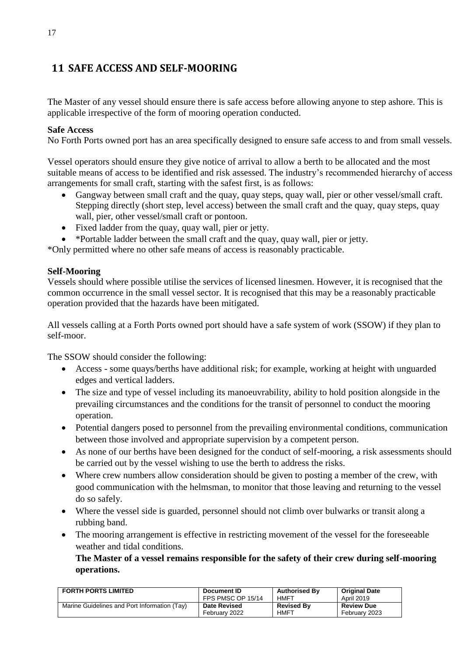## <span id="page-16-0"></span>**11 SAFE ACCESS AND SELF-MOORING**

The Master of any vessel should ensure there is safe access before allowing anyone to step ashore. This is applicable irrespective of the form of mooring operation conducted.

### **Safe Access**

No Forth Ports owned port has an area specifically designed to ensure safe access to and from small vessels.

Vessel operators should ensure they give notice of arrival to allow a berth to be allocated and the most suitable means of access to be identified and risk assessed. The industry's recommended hierarchy of access arrangements for small craft, starting with the safest first, is as follows:

- Gangway between small craft and the quay, quay steps, quay wall, pier or other vessel/small craft. Stepping directly (short step, level access) between the small craft and the quay, quay steps, quay wall, pier, other vessel/small craft or pontoon.
- Fixed ladder from the quay, quay wall, pier or jetty.
- \*Portable ladder between the small craft and the quay, quay wall, pier or jetty.

\*Only permitted where no other safe means of access is reasonably practicable.

#### **Self-Mooring**

Vessels should where possible utilise the services of licensed linesmen. However, it is recognised that the common occurrence in the small vessel sector. It is recognised that this may be a reasonably practicable operation provided that the hazards have been mitigated.

All vessels calling at a Forth Ports owned port should have a safe system of work (SSOW) if they plan to self-moor.

The SSOW should consider the following:

- Access some quays/berths have additional risk; for example, working at height with unguarded edges and vertical ladders.
- The size and type of vessel including its manoeuvrability, ability to hold position alongside in the prevailing circumstances and the conditions for the transit of personnel to conduct the mooring operation.
- Potential dangers posed to personnel from the prevailing environmental conditions, communication between those involved and appropriate supervision by a competent person.
- As none of our berths have been designed for the conduct of self-mooring, a risk assessments should be carried out by the vessel wishing to use the berth to address the risks.
- Where crew numbers allow consideration should be given to posting a member of the crew, with good communication with the helmsman, to monitor that those leaving and returning to the vessel do so safely.
- Where the vessel side is guarded, personnel should not climb over bulwarks or transit along a rubbing band.
- The mooring arrangement is effective in restricting movement of the vessel for the foreseeable weather and tidal conditions.

**The Master of a vessel remains responsible for the safety of their crew during self-mooring operations.**

| <b>FORTH PORTS LIMITED</b>                   | Document ID         | <b>Authorised By</b> | <b>Original Date</b> |
|----------------------------------------------|---------------------|----------------------|----------------------|
|                                              | FPS PMSC OP 15/14   | HMFT                 | <b>April 2019</b>    |
| Marine Guidelines and Port Information (Tay) | <b>Date Revised</b> | <b>Revised By</b>    | <b>Review Due</b>    |
|                                              | February 2022       | <b>HMFT</b>          | February 2023        |